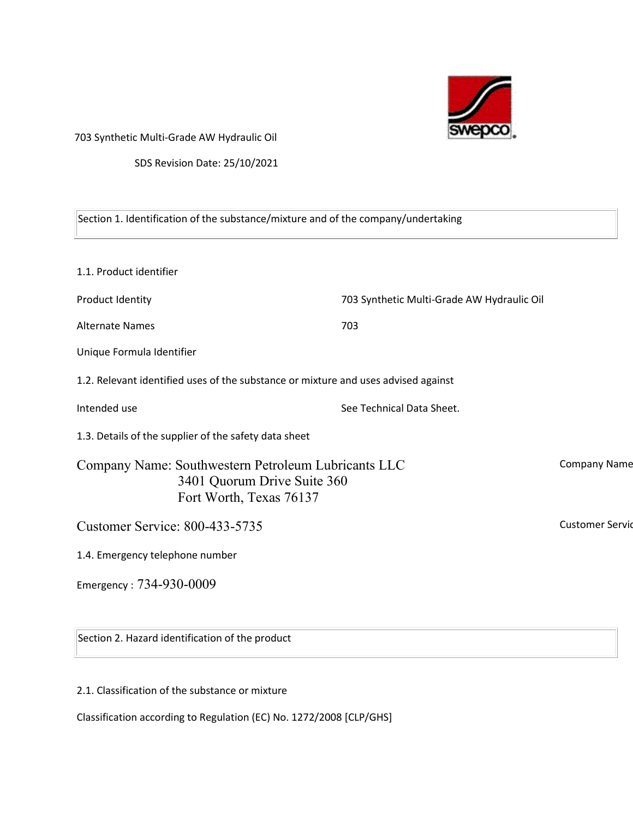

703 Synthetic Multi-Grade AW Hydraulic Oil

SDS Revision Date: 25/10/2021

| Section 1. Identification of the substance/mixture and of the company/undertaking                             |                                            |                        |
|---------------------------------------------------------------------------------------------------------------|--------------------------------------------|------------------------|
| 1.1. Product identifier                                                                                       |                                            |                        |
| Product Identity                                                                                              | 703 Synthetic Multi-Grade AW Hydraulic Oil |                        |
| <b>Alternate Names</b>                                                                                        | 703                                        |                        |
| Unique Formula Identifier                                                                                     |                                            |                        |
| 1.2. Relevant identified uses of the substance or mixture and uses advised against                            |                                            |                        |
| Intended use                                                                                                  | See Technical Data Sheet.                  |                        |
| 1.3. Details of the supplier of the safety data sheet                                                         |                                            |                        |
| Company Name: Southwestern Petroleum Lubricants LLC<br>3401 Quorum Drive Suite 360<br>Fort Worth, Texas 76137 |                                            | <b>Company Name</b>    |
| <b>Customer Service: 800-433-5735</b>                                                                         |                                            | <b>Customer Servic</b> |
| 1.4. Emergency telephone number                                                                               |                                            |                        |
| Emergency: 734-930-0009                                                                                       |                                            |                        |
| Section 2. Hazard identification of the product                                                               |                                            |                        |

2.1. Classification of the substance or mixture

Classification according to Regulation (EC) No. 1272/2008 [CLP/GHS]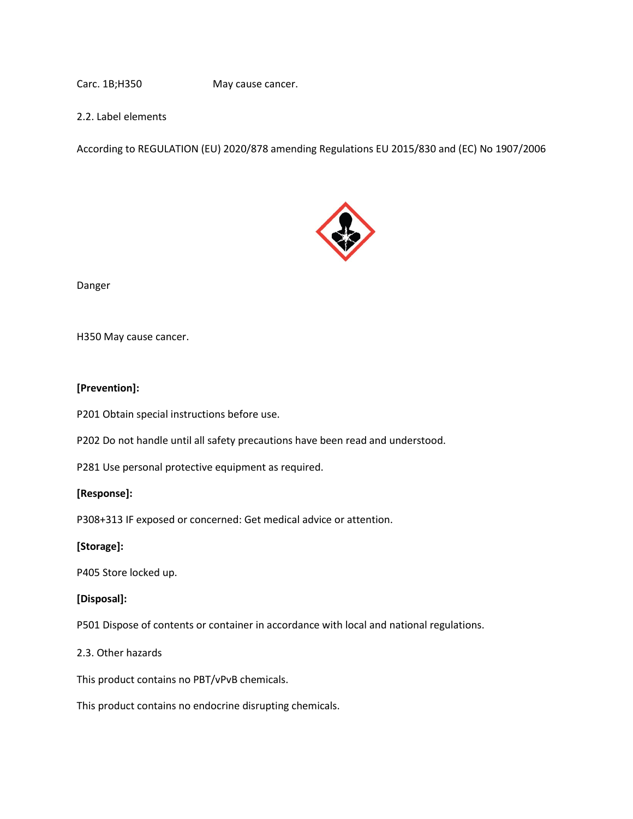Carc. 1B;H350 May cause cancer.

2.2. Label elements

According to REGULATION (EU) 2020/878 amending Regulations EU 2015/830 and (EC) No 1907/2006



Danger

H350 May cause cancer.

#### **[Prevention]:**

P201 Obtain special instructions before use.

P202 Do not handle until all safety precautions have been read and understood.

P281 Use personal protective equipment as required.

#### **[Response]:**

P308+313 IF exposed or concerned: Get medical advice or attention.

#### **[Storage]:**

P405 Store locked up.

#### **[Disposal]:**

P501 Dispose of contents or container in accordance with local and national regulations.

#### 2.3. Other hazards

This product contains no PBT/vPvB chemicals.

This product contains no endocrine disrupting chemicals.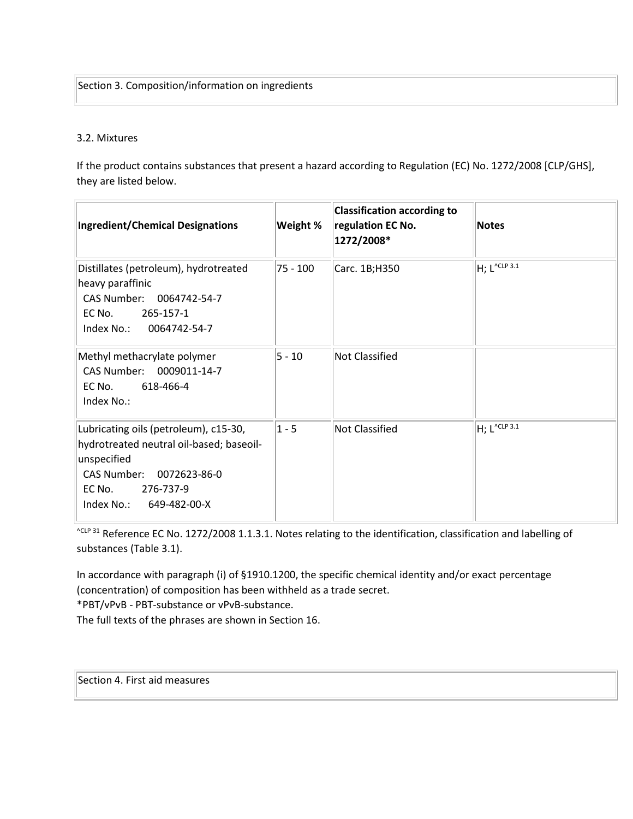#### 3.2. Mixtures

If the product contains substances that present a hazard according to Regulation (EC) No. 1272/2008 [CLP/GHS], they are listed below.

| <b>Ingredient/Chemical Designations</b>                                                                                                                                           | Weight % | <b>Classification according to</b><br>regulation EC No.<br>1272/2008* | <b>Notes</b>                |
|-----------------------------------------------------------------------------------------------------------------------------------------------------------------------------------|----------|-----------------------------------------------------------------------|-----------------------------|
| Distillates (petroleum), hydrotreated<br>heavy paraffinic<br>CAS Number: 0064742-54-7<br>EC No.<br>265-157-1<br>Index No.: 0064742-54-7                                           | 75 - 100 | Carc. 1B;H350                                                         | $H$ ; L <sup>^CLP 3.1</sup> |
| Methyl methacrylate polymer<br>CAS Number: 0009011-14-7<br>EC No.<br>618-466-4<br>Index No.:                                                                                      | $5 - 10$ | Not Classified                                                        |                             |
| Lubricating oils (petroleum), c15-30,<br>hydrotreated neutral oil-based; baseoil-<br>unspecified<br>CAS Number:<br>0072623-86-0<br>EC No.<br>276-737-9<br>Index No.: 649-482-00-X | $1 - 5$  | <b>Not Classified</b>                                                 | $H$ ; L <sup>^CLP 3.1</sup> |

<sup>^CLP 31</sup> Reference EC No. 1272/2008 1.1.3.1. Notes relating to the identification, classification and labelling of substances (Table 3.1).

In accordance with paragraph (i) of §1910.1200, the specific chemical identity and/or exact percentage (concentration) of composition has been withheld as a trade secret.

\*PBT/vPvB - PBT-substance or vPvB-substance.

The full texts of the phrases are shown in Section 16.

Section 4. First aid measures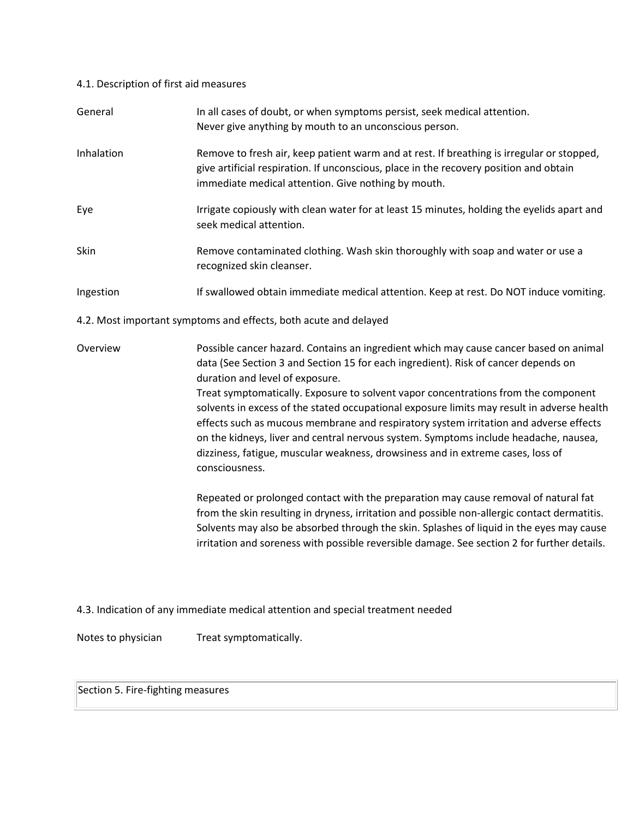## 4.1. Description of first aid measures

| General            | In all cases of doubt, or when symptoms persist, seek medical attention.<br>Never give anything by mouth to an unconscious person.                                                                                                                                                                                                                                                                                                                                                                                                                                                                                                                                                                                                                                                                                                                                                                                                                                                                                                                                         |
|--------------------|----------------------------------------------------------------------------------------------------------------------------------------------------------------------------------------------------------------------------------------------------------------------------------------------------------------------------------------------------------------------------------------------------------------------------------------------------------------------------------------------------------------------------------------------------------------------------------------------------------------------------------------------------------------------------------------------------------------------------------------------------------------------------------------------------------------------------------------------------------------------------------------------------------------------------------------------------------------------------------------------------------------------------------------------------------------------------|
| Inhalation         | Remove to fresh air, keep patient warm and at rest. If breathing is irregular or stopped,<br>give artificial respiration. If unconscious, place in the recovery position and obtain<br>immediate medical attention. Give nothing by mouth.                                                                                                                                                                                                                                                                                                                                                                                                                                                                                                                                                                                                                                                                                                                                                                                                                                 |
| Eye                | Irrigate copiously with clean water for at least 15 minutes, holding the eyelids apart and<br>seek medical attention.                                                                                                                                                                                                                                                                                                                                                                                                                                                                                                                                                                                                                                                                                                                                                                                                                                                                                                                                                      |
| Skin               | Remove contaminated clothing. Wash skin thoroughly with soap and water or use a<br>recognized skin cleanser.                                                                                                                                                                                                                                                                                                                                                                                                                                                                                                                                                                                                                                                                                                                                                                                                                                                                                                                                                               |
| Ingestion          | If swallowed obtain immediate medical attention. Keep at rest. Do NOT induce vomiting.                                                                                                                                                                                                                                                                                                                                                                                                                                                                                                                                                                                                                                                                                                                                                                                                                                                                                                                                                                                     |
|                    | 4.2. Most important symptoms and effects, both acute and delayed                                                                                                                                                                                                                                                                                                                                                                                                                                                                                                                                                                                                                                                                                                                                                                                                                                                                                                                                                                                                           |
| Overview           | Possible cancer hazard. Contains an ingredient which may cause cancer based on animal<br>data (See Section 3 and Section 15 for each ingredient). Risk of cancer depends on<br>duration and level of exposure.<br>Treat symptomatically. Exposure to solvent vapor concentrations from the component<br>solvents in excess of the stated occupational exposure limits may result in adverse health<br>effects such as mucous membrane and respiratory system irritation and adverse effects<br>on the kidneys, liver and central nervous system. Symptoms include headache, nausea,<br>dizziness, fatigue, muscular weakness, drowsiness and in extreme cases, loss of<br>consciousness.<br>Repeated or prolonged contact with the preparation may cause removal of natural fat<br>from the skin resulting in dryness, irritation and possible non-allergic contact dermatitis.<br>Solvents may also be absorbed through the skin. Splashes of liquid in the eyes may cause<br>irritation and soreness with possible reversible damage. See section 2 for further details. |
|                    | 4.3. Indication of any immediate medical attention and special treatment needed                                                                                                                                                                                                                                                                                                                                                                                                                                                                                                                                                                                                                                                                                                                                                                                                                                                                                                                                                                                            |
| Notes to physician | Treat symptomatically.                                                                                                                                                                                                                                                                                                                                                                                                                                                                                                                                                                                                                                                                                                                                                                                                                                                                                                                                                                                                                                                     |

# Section 5. Fire-fighting measures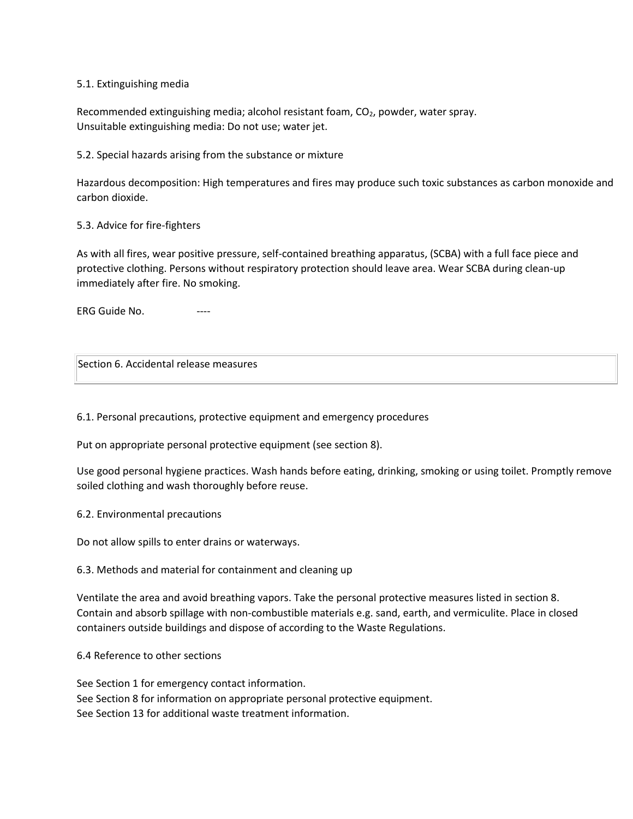#### 5.1. Extinguishing media

Recommended extinguishing media; alcohol resistant foam, CO<sub>2</sub>, powder, water spray. Unsuitable extinguishing media: Do not use; water jet.

5.2. Special hazards arising from the substance or mixture

Hazardous decomposition: High temperatures and fires may produce such toxic substances as carbon monoxide and carbon dioxide.

5.3. Advice for fire-fighters

As with all fires, wear positive pressure, self-contained breathing apparatus, (SCBA) with a full face piece and protective clothing. Persons without respiratory protection should leave area. Wear SCBA during clean-up immediately after fire. No smoking.

ERG Guide No.

Section 6. Accidental release measures

6.1. Personal precautions, protective equipment and emergency procedures

Put on appropriate personal protective equipment (see section 8).

Use good personal hygiene practices. Wash hands before eating, drinking, smoking or using toilet. Promptly remove soiled clothing and wash thoroughly before reuse.

6.2. Environmental precautions

Do not allow spills to enter drains or waterways.

6.3. Methods and material for containment and cleaning up

Ventilate the area and avoid breathing vapors. Take the personal protective measures listed in section 8. Contain and absorb spillage with non-combustible materials e.g. sand, earth, and vermiculite. Place in closed containers outside buildings and dispose of according to the Waste Regulations.

#### 6.4 Reference to other sections

See Section 1 for emergency contact information. See Section 8 for information on appropriate personal protective equipment. See Section 13 for additional waste treatment information.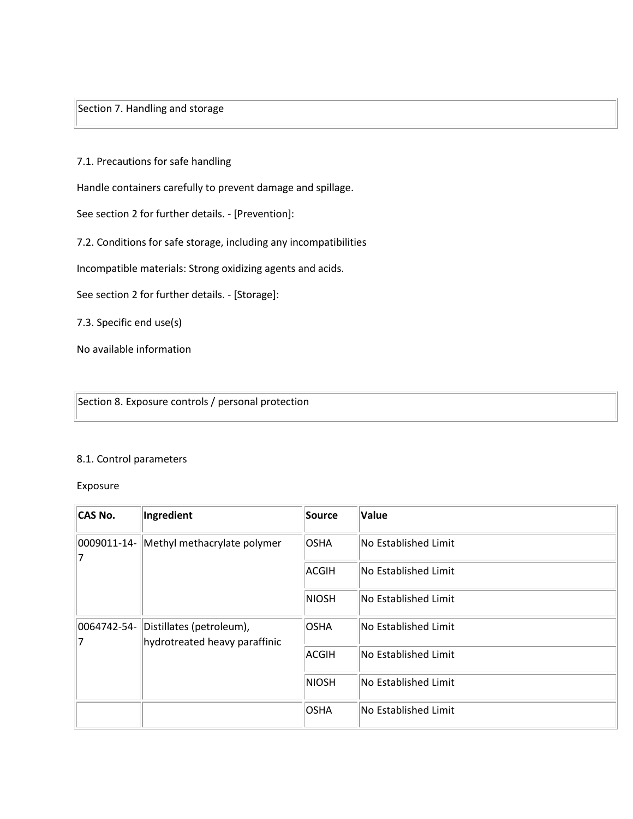Section 7. Handling and storage

7.1. Precautions for safe handling

Handle containers carefully to prevent damage and spillage.

See section 2 for further details. - [Prevention]:

7.2. Conditions for safe storage, including any incompatibilities

Incompatible materials: Strong oxidizing agents and acids.

See section 2 for further details. - [Storage]:

7.3. Specific end use(s)

No available information

Section 8. Exposure controls / personal protection

#### 8.1. Control parameters

Exposure

| <b>CAS No.</b>   | Ingredient                                                | Source       | Value                |
|------------------|-----------------------------------------------------------|--------------|----------------------|
| 0009011-14-<br>7 | Methyl methacrylate polymer                               | OSHA         | No Established Limit |
|                  |                                                           | ACGIH        | No Established Limit |
|                  |                                                           | <b>NIOSH</b> | No Established Limit |
| 0064742-54-<br>7 | Distillates (petroleum),<br>hydrotreated heavy paraffinic | OSHA         | No Established Limit |
|                  |                                                           | ACGIH        | No Established Limit |
|                  |                                                           | <b>NIOSH</b> | No Established Limit |
|                  |                                                           | OSHA         | No Established Limit |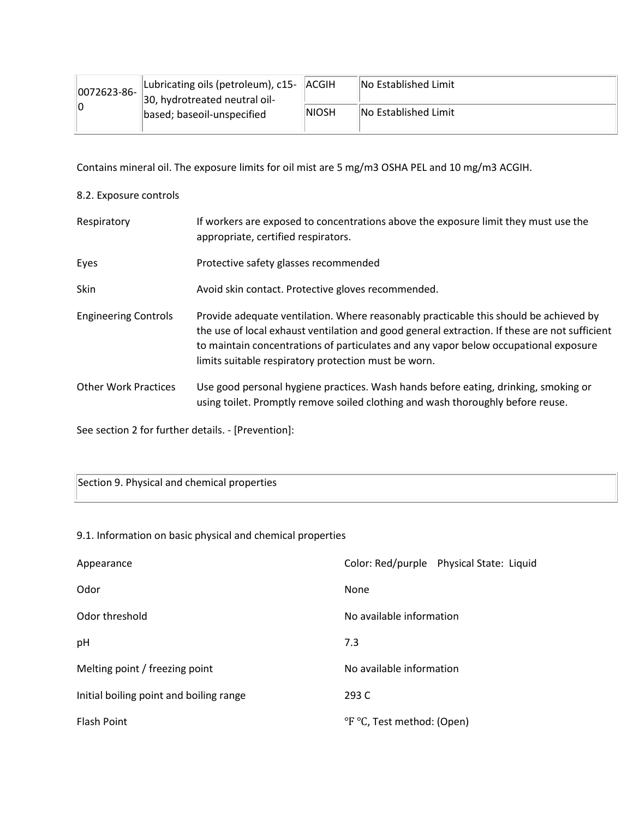| 0072623-86- | Lubricating oils (petroleum), c15- ACGIH<br>30, hydrotreated neutral oil- |        | <b>No Established Limit</b> |
|-------------|---------------------------------------------------------------------------|--------|-----------------------------|
| 10          | based; baseoil-unspecified                                                | INIOSH | <b>No Established Limit</b> |

Contains mineral oil. The exposure limits for oil mist are 5 mg/m3 OSHA PEL and 10 mg/m3 ACGIH.

### 8.2. Exposure controls

| Respiratory                 | If workers are exposed to concentrations above the exposure limit they must use the<br>appropriate, certified respirators.                                                                                                                                                                                                             |
|-----------------------------|----------------------------------------------------------------------------------------------------------------------------------------------------------------------------------------------------------------------------------------------------------------------------------------------------------------------------------------|
| Eyes                        | Protective safety glasses recommended                                                                                                                                                                                                                                                                                                  |
| Skin                        | Avoid skin contact. Protective gloves recommended.                                                                                                                                                                                                                                                                                     |
| <b>Engineering Controls</b> | Provide adequate ventilation. Where reasonably practicable this should be achieved by<br>the use of local exhaust ventilation and good general extraction. If these are not sufficient<br>to maintain concentrations of particulates and any vapor below occupational exposure<br>limits suitable respiratory protection must be worn. |
| <b>Other Work Practices</b> | Use good personal hygiene practices. Wash hands before eating, drinking, smoking or<br>using toilet. Promptly remove soiled clothing and wash thoroughly before reuse.                                                                                                                                                                 |

See section 2 for further details. - [Prevention]:

Section 9. Physical and chemical properties

### 9.1. Information on basic physical and chemical properties

| Appearance                              | Color: Red/purple Physical State: Liquid |
|-----------------------------------------|------------------------------------------|
| Odor                                    | None                                     |
| Odor threshold                          | No available information                 |
| pH                                      | 7.3                                      |
| Melting point / freezing point          | No available information                 |
| Initial boiling point and boiling range | 293 C                                    |
| <b>Flash Point</b>                      | <sup>o</sup> F °C, Test method: (Open)   |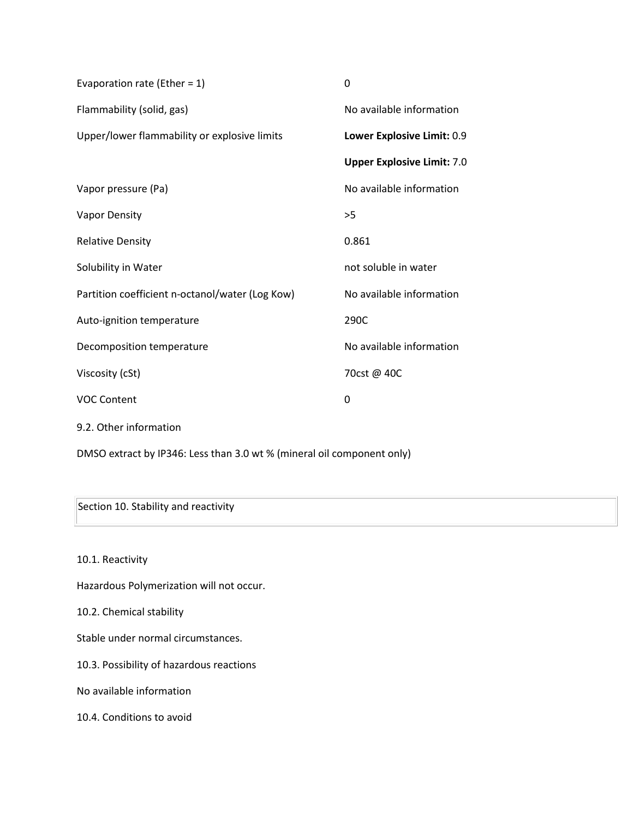| Evaporation rate (Ether = $1$ )                 | 0                                 |
|-------------------------------------------------|-----------------------------------|
| Flammability (solid, gas)                       | No available information          |
| Upper/lower flammability or explosive limits    | Lower Explosive Limit: 0.9        |
|                                                 | <b>Upper Explosive Limit: 7.0</b> |
| Vapor pressure (Pa)                             | No available information          |
| <b>Vapor Density</b>                            | >5                                |
| <b>Relative Density</b>                         | 0.861                             |
| Solubility in Water                             | not soluble in water              |
| Partition coefficient n-octanol/water (Log Kow) | No available information          |
| Auto-ignition temperature                       | 290C                              |
| Decomposition temperature                       | No available information          |
| Viscosity (cSt)                                 | 70cst @ 40C                       |
| <b>VOC Content</b>                              | 0                                 |
| 9.2. Other information                          |                                   |

DMSO extract by IP346: Less than 3.0 wt % (mineral oil component only)

Section 10. Stability and reactivity

10.1. Reactivity

Hazardous Polymerization will not occur.

10.2. Chemical stability

Stable under normal circumstances.

10.3. Possibility of hazardous reactions

No available information

10.4. Conditions to avoid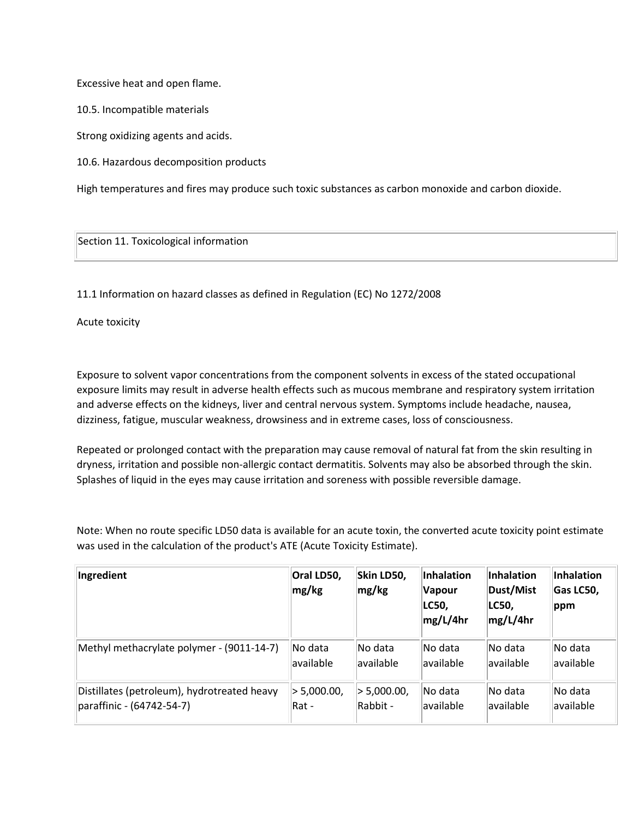Excessive heat and open flame.

10.5. Incompatible materials

Strong oxidizing agents and acids.

10.6. Hazardous decomposition products

High temperatures and fires may produce such toxic substances as carbon monoxide and carbon dioxide.

Section 11. Toxicological information

11.1 Information on hazard classes as defined in Regulation (EC) No 1272/2008

Acute toxicity

Exposure to solvent vapor concentrations from the component solvents in excess of the stated occupational exposure limits may result in adverse health effects such as mucous membrane and respiratory system irritation and adverse effects on the kidneys, liver and central nervous system. Symptoms include headache, nausea, dizziness, fatigue, muscular weakness, drowsiness and in extreme cases, loss of consciousness.

Repeated or prolonged contact with the preparation may cause removal of natural fat from the skin resulting in dryness, irritation and possible non-allergic contact dermatitis. Solvents may also be absorbed through the skin. Splashes of liquid in the eyes may cause irritation and soreness with possible reversible damage.

Note: When no route specific LD50 data is available for an acute toxin, the converted acute toxicity point estimate was used in the calculation of the product's ATE (Acute Toxicity Estimate).

| Ingredient                                  | Oral LD50,<br>mg/kg | Skin LD50,<br>mg/kg | Inhalation<br>Vapour<br>LC50,<br>mg/L/4hr | Inhalation<br>Dust/Mist<br>LC50,<br>mg/L/4hr | Inhalation<br>Gas LC50,<br>ppm |
|---------------------------------------------|---------------------|---------------------|-------------------------------------------|----------------------------------------------|--------------------------------|
| Methyl methacrylate polymer - (9011-14-7)   | No data             | No data             | No data                                   | No data                                      | No data                        |
|                                             | available           | available           | available                                 | available                                    | available                      |
| Distillates (petroleum), hydrotreated heavy | > 5,000.00,         | > 5,000.00,         | No data                                   | No data                                      | No data                        |
| paraffinic - (64742-54-7)                   | Rat -               | Rabbit -            | available                                 | available                                    | available                      |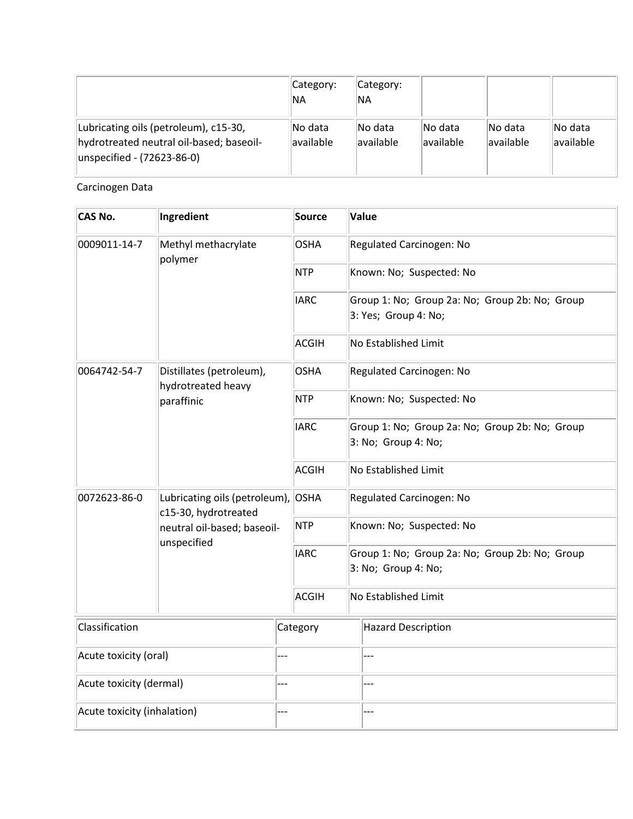|                                                                                                                 | Category:<br><b>NA</b> | Category:<br>'NA      |                      |                               |                      |
|-----------------------------------------------------------------------------------------------------------------|------------------------|-----------------------|----------------------|-------------------------------|----------------------|
| Lubricating oils (petroleum), c15-30,<br>hydrotreated neutral oil-based; baseoil-<br>unspecified - (72623-86-0) | No data<br>available   | lNo data<br>available | No data<br>available | lNo data<br><b>lavailable</b> | No data<br>available |

Carcinogen Data

| CAS No.                     | Ingredient                                            |     | Source       | Value                                                                  |
|-----------------------------|-------------------------------------------------------|-----|--------------|------------------------------------------------------------------------|
| 0009011-14-7                | Methyl methacrylate<br>polymer                        |     | <b>OSHA</b>  | Regulated Carcinogen: No                                               |
|                             |                                                       |     | <b>NTP</b>   | Known: No; Suspected: No                                               |
|                             |                                                       |     | <b>IARC</b>  | Group 1: No; Group 2a: No; Group 2b: No; Group<br>3: Yes; Group 4: No; |
|                             |                                                       |     | <b>ACGIH</b> | No Established Limit                                                   |
| 0064742-54-7                | Distillates (petroleum),<br>hydrotreated heavy        |     | <b>OSHA</b>  | Regulated Carcinogen: No                                               |
|                             | paraffinic                                            |     | <b>NTP</b>   | Known: No; Suspected: No                                               |
|                             |                                                       |     | <b>IARC</b>  | Group 1: No; Group 2a: No; Group 2b: No; Group<br>3: No; Group 4: No;  |
|                             |                                                       |     | <b>ACGIH</b> | No Established Limit                                                   |
| 0072623-86-0                | Lubricating oils (petroleum),<br>c15-30, hydrotreated |     | <b>OSHA</b>  | Regulated Carcinogen: No                                               |
|                             | neutral oil-based; baseoil-<br>unspecified            |     | <b>NTP</b>   | Known: No; Suspected: No                                               |
|                             |                                                       |     | <b>IARC</b>  | Group 1: No; Group 2a: No; Group 2b: No; Group<br>3: No; Group 4: No;  |
|                             |                                                       |     | ACGIH        | No Established Limit                                                   |
| Classification              |                                                       |     | Category     | Hazard Description                                                     |
| Acute toxicity (oral)       |                                                       |     |              |                                                                        |
| Acute toxicity (dermal)     |                                                       | --- |              | ---                                                                    |
| Acute toxicity (inhalation) |                                                       | --- |              |                                                                        |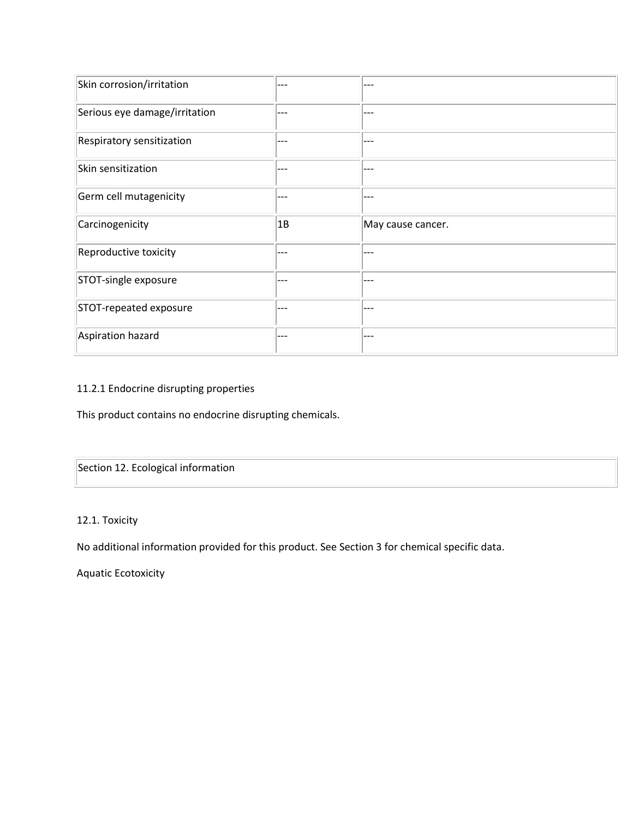| Skin corrosion/irritation     | --- | ---               |
|-------------------------------|-----|-------------------|
| Serious eye damage/irritation | --- | ---               |
| Respiratory sensitization     | --- | ---               |
| Skin sensitization            | --- | ---               |
| Germ cell mutagenicity        | --- | ---               |
| Carcinogenicity               | 1B  | May cause cancer. |
|                               |     |                   |
| Reproductive toxicity         | --- | ---               |
| STOT-single exposure          | --- | ---               |
| STOT-repeated exposure        | --- | ---               |

## 11.2.1 Endocrine disrupting properties

This product contains no endocrine disrupting chemicals.

Section 12. Ecological information

12.1. Toxicity

No additional information provided for this product. See Section 3 for chemical specific data.

Aquatic Ecotoxicity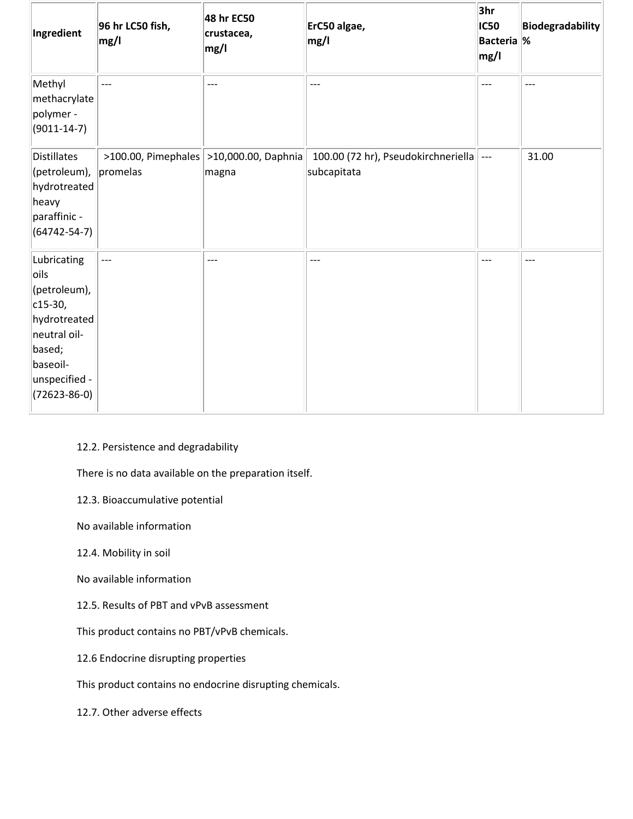| Ingredient                                                                                                                                    | 96 hr LC50 fish,<br>mg/l | 48 hr EC50<br>crustacea,<br>mg/l                        | ErC50 algae,<br>mg/l                               | 3hr<br><b>IC50</b><br><b>Bacteria %</b><br>mg/l | <b>Biodegradability</b> |
|-----------------------------------------------------------------------------------------------------------------------------------------------|--------------------------|---------------------------------------------------------|----------------------------------------------------|-------------------------------------------------|-------------------------|
| Methyl<br>methacrylate<br>polymer -<br>$(9011 - 14 - 7)$                                                                                      | ---                      | ---                                                     | $---$                                              | $---$                                           | $---$                   |
| Distillates<br>(petroleum),<br>hydrotreated<br>heavy<br>paraffinic -<br>$(64742 - 54 - 7)$                                                    | promelas                 | $>100.00$ , Pimephales $ >10,000.00$ , Daphnia<br>magna | 100.00 (72 hr), Pseudokirchneriella<br>subcapitata | $\overline{---}$                                | 31.00                   |
| Lubricating<br>oils<br>(petroleum),<br>$c15-30,$<br>hydrotreated<br>neutral oil-<br>based;<br>baseoil-<br>unspecified -<br>$(72623 - 86 - 0)$ | $---$                    | $---$                                                   | $---$                                              | $---$                                           | $---$                   |

# 12.2. Persistence and degradability

There is no data available on the preparation itself.

12.3. Bioaccumulative potential

No available information

12.4. Mobility in soil

No available information

12.5. Results of PBT and vPvB assessment

This product contains no PBT/vPvB chemicals.

12.6 Endocrine disrupting properties

This product contains no endocrine disrupting chemicals.

12.7. Other adverse effects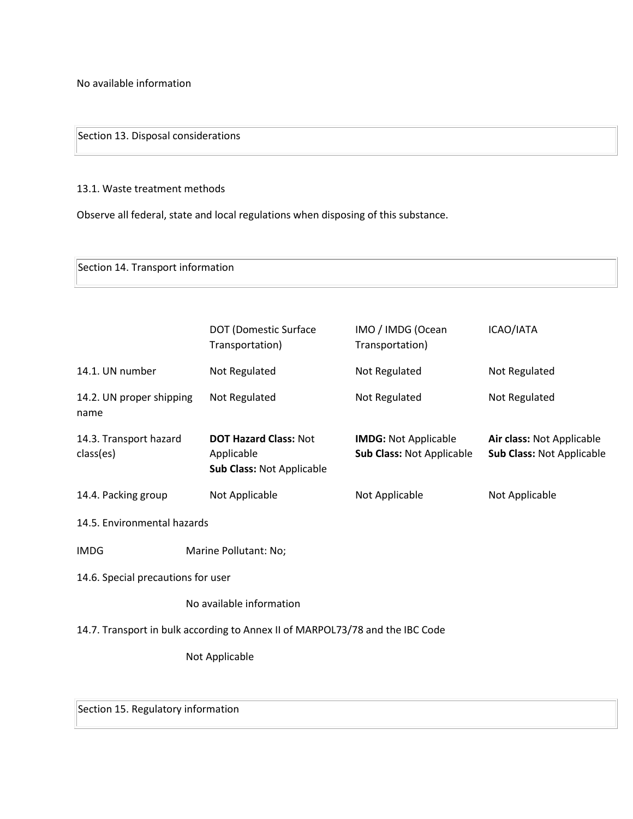No available information

Section 13. Disposal considerations

13.1. Waste treatment methods

Observe all federal, state and local regulations when disposing of this substance.

Section 14. Transport information

|                                                                               | <b>DOT (Domestic Surface</b><br>Transportation)                         | IMO / IMDG (Ocean<br>Transportation)                     | ICAO/IATA                                              |  |  |  |  |
|-------------------------------------------------------------------------------|-------------------------------------------------------------------------|----------------------------------------------------------|--------------------------------------------------------|--|--|--|--|
| 14.1. UN number                                                               | Not Regulated                                                           | Not Regulated                                            | Not Regulated                                          |  |  |  |  |
| 14.2. UN proper shipping<br>name                                              | Not Regulated                                                           | Not Regulated                                            | Not Regulated                                          |  |  |  |  |
| 14.3. Transport hazard<br>class(es)                                           | <b>DOT Hazard Class: Not</b><br>Applicable<br>Sub Class: Not Applicable | <b>IMDG: Not Applicable</b><br>Sub Class: Not Applicable | Air class: Not Applicable<br>Sub Class: Not Applicable |  |  |  |  |
| 14.4. Packing group                                                           | Not Applicable                                                          | Not Applicable                                           | Not Applicable                                         |  |  |  |  |
| 14.5. Environmental hazards                                                   |                                                                         |                                                          |                                                        |  |  |  |  |
| <b>IMDG</b>                                                                   | Marine Pollutant: No;                                                   |                                                          |                                                        |  |  |  |  |
| 14.6. Special precautions for user                                            |                                                                         |                                                          |                                                        |  |  |  |  |
|                                                                               | No available information                                                |                                                          |                                                        |  |  |  |  |
| 14.7. Transport in bulk according to Annex II of MARPOL73/78 and the IBC Code |                                                                         |                                                          |                                                        |  |  |  |  |
|                                                                               | Not Applicable                                                          |                                                          |                                                        |  |  |  |  |
|                                                                               |                                                                         |                                                          |                                                        |  |  |  |  |

Section 15. Regulatory information